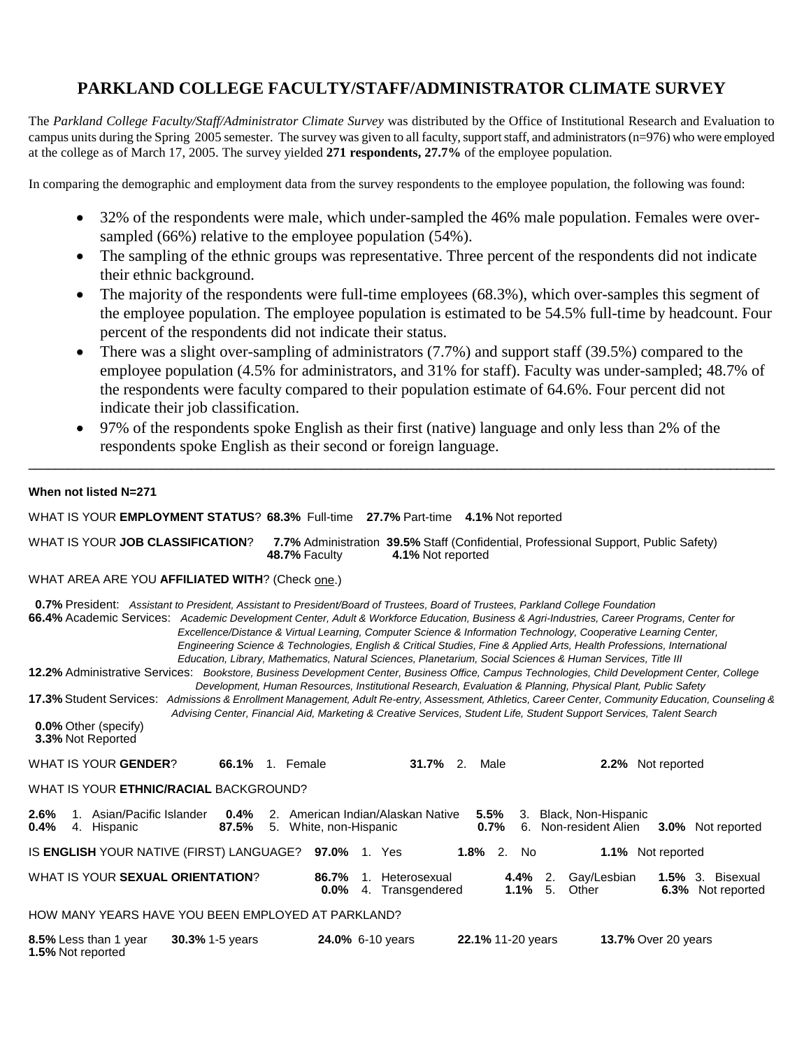# **PARKLAND COLLEGE FACULTY/STAFF/ADMINISTRATOR CLIMATE SURVEY**

The *Parkland College Faculty/Staff/Administrator Climate Survey* was distributed by the Office of Institutional Research and Evaluation to campus units during the Spring 2005 semester. The survey was given to all faculty, support staff, and administrators (n=976) who were employed at the college as of March 17, 2005. The survey yielded **271 respondents, 27.7%** of the employee population.

In comparing the demographic and employment data from the survey respondents to the employee population, the following was found:

- 32% of the respondents were male, which under-sampled the 46% male population. Females were oversampled (66%) relative to the employee population (54%).
- The sampling of the ethnic groups was representative. Three percent of the respondents did not indicate their ethnic background.
- The majority of the respondents were full-time employees (68.3%), which over-samples this segment of the employee population. The employee population is estimated to be 54.5% full-time by headcount. Four percent of the respondents did not indicate their status.
- There was a slight over-sampling of administrators (7.7%) and support staff (39.5%) compared to the employee population (4.5% for administrators, and 31% for staff). Faculty was under-sampled; 48.7% of the respondents were faculty compared to their population estimate of 64.6%. Four percent did not indicate their job classification.
- 97% of the respondents spoke English as their first (native) language and only less than 2% of the respondents spoke English as their second or foreign language.

**\_\_\_\_\_\_\_\_\_\_\_\_\_\_\_\_\_\_\_\_\_\_\_\_\_\_\_\_\_\_\_\_\_\_\_\_\_\_\_\_\_\_\_\_\_\_\_\_\_\_\_\_\_\_\_\_\_\_\_\_\_\_\_\_\_\_\_\_\_\_\_\_\_\_\_\_\_\_\_\_\_\_\_\_\_\_\_\_\_\_\_\_\_\_\_\_\_\_\_\_\_\_\_\_\_\_\_\_\_\_\_\_\_\_\_**

## **When not listed N=271**

| WHAT IS YOUR EMPLOYMENT STATUS? 68.3% Full-time 27.7% Part-time 4.1% Not reported                                                                                                                                                                                                                                                                                                                                                                                                                                                                                                                                                                                                                                                                                                                                                                                                                                                                                                                                                                                                                                                                                                                                                             |
|-----------------------------------------------------------------------------------------------------------------------------------------------------------------------------------------------------------------------------------------------------------------------------------------------------------------------------------------------------------------------------------------------------------------------------------------------------------------------------------------------------------------------------------------------------------------------------------------------------------------------------------------------------------------------------------------------------------------------------------------------------------------------------------------------------------------------------------------------------------------------------------------------------------------------------------------------------------------------------------------------------------------------------------------------------------------------------------------------------------------------------------------------------------------------------------------------------------------------------------------------|
| WHAT IS YOUR JOB CLASSIFICATION?<br>7.7% Administration 39.5% Staff (Confidential, Professional Support, Public Safety)<br>48.7% Faculty<br>4.1% Not reported                                                                                                                                                                                                                                                                                                                                                                                                                                                                                                                                                                                                                                                                                                                                                                                                                                                                                                                                                                                                                                                                                 |
| WHAT AREA ARE YOU AFFILIATED WITH? (Check one.)                                                                                                                                                                                                                                                                                                                                                                                                                                                                                                                                                                                                                                                                                                                                                                                                                                                                                                                                                                                                                                                                                                                                                                                               |
| 0.7% President: Assistant to President, Assistant to President/Board of Trustees, Board of Trustees, Parkland College Foundation<br>66.4% Academic Services: Academic Development Center, Adult & Workforce Education, Business & Agri-Industries, Career Programs, Center for<br>Excellence/Distance & Virtual Learning, Computer Science & Information Technology, Cooperative Learning Center,<br>Engineering Science & Technologies, English & Critical Studies, Fine & Applied Arts, Health Professions, International<br>Education, Library, Mathematics, Natural Sciences, Planetarium, Social Sciences & Human Services, Title III<br>12.2% Administrative Services: Bookstore, Business Development Center, Business Office, Campus Technologies, Child Development Center, College<br>Development, Human Resources, Institutional Research, Evaluation & Planning, Physical Plant, Public Safety<br>17.3% Student Services: Admissions & Enrollment Management, Adult Re-entry, Assessment, Athletics, Career Center, Community Education, Counseling &<br>Advising Center, Financial Aid, Marketing & Creative Services, Student Life, Student Support Services, Talent Search<br><b>0.0% Other (specify)</b><br>3.3% Not Reported |
| WHAT IS YOUR GENDER?<br>$31.7\%$ 2.<br>2.2% Not reported<br>66.1%<br>1. Female<br>Male                                                                                                                                                                                                                                                                                                                                                                                                                                                                                                                                                                                                                                                                                                                                                                                                                                                                                                                                                                                                                                                                                                                                                        |
| WHAT IS YOUR ETHNIC/RACIAL BACKGROUND?                                                                                                                                                                                                                                                                                                                                                                                                                                                                                                                                                                                                                                                                                                                                                                                                                                                                                                                                                                                                                                                                                                                                                                                                        |
| 5.5%<br>2.6%<br>1. Asian/Pacific Islander<br>0.4%<br>2. American Indian/Alaskan Native<br>3. Black, Non-Hispanic<br>6. Non-resident Alien<br>87.5%<br>0.7%<br>3.0% Not reported<br>0.4%<br>5. White, non-Hispanic<br>4. Hispanic                                                                                                                                                                                                                                                                                                                                                                                                                                                                                                                                                                                                                                                                                                                                                                                                                                                                                                                                                                                                              |
| IS ENGLISH YOUR NATIVE (FIRST) LANGUAGE? 97.0% 1. Yes<br>$1.8\%$ 2. No<br>1.1% Not reported                                                                                                                                                                                                                                                                                                                                                                                                                                                                                                                                                                                                                                                                                                                                                                                                                                                                                                                                                                                                                                                                                                                                                   |
| WHAT IS YOUR SEXUAL ORIENTATION?<br>Gay/Lesbian<br>86.7%<br>1. Heterosexual<br>$4.4\%$ 2.<br>1.5% 3. Bisexual<br>$1.1\%$ 5.<br>4. Transgendered<br>Other<br>6.3% Not reported<br>0.0%                                                                                                                                                                                                                                                                                                                                                                                                                                                                                                                                                                                                                                                                                                                                                                                                                                                                                                                                                                                                                                                         |
| HOW MANY YEARS HAVE YOU BEEN EMPLOYED AT PARKLAND?                                                                                                                                                                                                                                                                                                                                                                                                                                                                                                                                                                                                                                                                                                                                                                                                                                                                                                                                                                                                                                                                                                                                                                                            |
| 24.0% 6-10 years<br><b>13.7% Over 20 years</b><br>8.5% Less than 1 year<br><b>30.3%</b> 1-5 years<br>22.1% 11-20 years<br>1.5% Not reported                                                                                                                                                                                                                                                                                                                                                                                                                                                                                                                                                                                                                                                                                                                                                                                                                                                                                                                                                                                                                                                                                                   |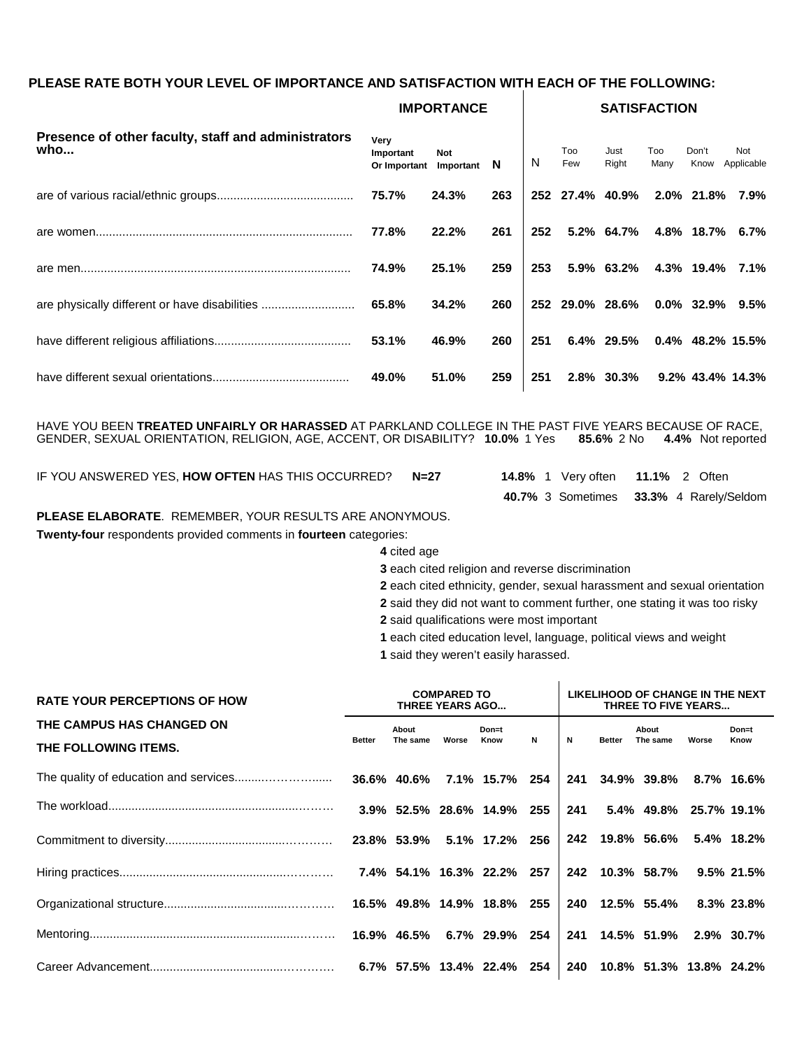## **PLEASE RATE BOTH YOUR LEVEL OF IMPORTANCE AND SATISFACTION WITH EACH OF THE FOLLOWING:**

|                                                            | <b>IMPORTANCE</b>                 |                  |     |     |                 |               |             | <b>SATISFACTION</b> |                     |  |  |  |  |  |  |
|------------------------------------------------------------|-----------------------------------|------------------|-----|-----|-----------------|---------------|-------------|---------------------|---------------------|--|--|--|--|--|--|
| Presence of other faculty, staff and administrators<br>who | Very<br>Important<br>Or Important | Not<br>Important | N   | N   | Too<br>Few      | Just<br>Right | Too<br>Many | Don't<br>Know       | Not<br>Applicable   |  |  |  |  |  |  |
|                                                            | 75.7%                             | 24.3%            | 263 |     | 252 27.4% 40.9% |               |             | 2.0% 21.8%          | 7.9%                |  |  |  |  |  |  |
|                                                            | 77.8%                             | 22.2%            | 261 | 252 |                 | 5.2% 64.7%    |             |                     | 4.8% 18.7% 6.7%     |  |  |  |  |  |  |
|                                                            | 74.9%                             | 25.1%            | 259 | 253 |                 | $5.9\%$ 63.2% |             | 4.3% 19.4%          | 7.1%                |  |  |  |  |  |  |
| are physically different or have disabilities              | 65.8%                             | 34.2%            | 260 |     | 252 29.0% 28.6% |               |             | $0.0\%$ 32.9%       | $9.5\%$             |  |  |  |  |  |  |
|                                                            | 53.1%                             | 46.9%            | 260 | 251 |                 | $6.4\%$ 29.5% |             |                     | $0.4\%$ 48.2% 15.5% |  |  |  |  |  |  |
|                                                            | 49.0%                             | 51.0%            | 259 | 251 |                 | 2.8% 30.3%    |             |                     | 9.2% 43.4% 14.3%    |  |  |  |  |  |  |

HAVE YOU BEEN **TREATED UNFAIRLY OR HARASSED** AT PARKLAND COLLEGE IN THE PAST FIVE YEARS BECAUSE OF RACE, GENDER, SEXUAL ORIENTATION, RELIGION, AGE, ACCENT, OR DISABILITY? **10.0%** 1 Yes **85.6%** 2 No **4.4%** Not reported

IF YOU ANSWERED YES, **HOW OFTEN** HAS THIS OCCURRED? **N=27 14.8%** 1 Very often **11.1%** 2 Often

**40.7%** 3 Sometimes **33.3%** 4 Rarely/Seldom

### **PLEASE ELABORATE**. REMEMBER, YOUR RESULTS ARE ANONYMOUS.

**Twenty-four** respondents provided comments in **fourteen** categories:

 **4** cited age

 **3** each cited religion and reverse discrimination

 **2** each cited ethnicity, gender, sexual harassment and sexual orientation

 **2** said they did not want to comment further, one stating it was too risky

 **2** said qualifications were most important

 **1** each cited education level, language, political views and weight

 $\mathbf{r}$ 

 **1** said they weren't easily harassed.

| <b>RATE YOUR PERCEPTIONS OF HOW</b>               |               |                   | <b>COMPARED TO</b><br><b>THREE YEARS AGO</b> |                            | LIKELIHOOD OF CHANGE IN THE NEXT<br>THREE TO FIVE YEARS |             |               |                            |       |               |
|---------------------------------------------------|---------------|-------------------|----------------------------------------------|----------------------------|---------------------------------------------------------|-------------|---------------|----------------------------|-------|---------------|
| THE CAMPUS HAS CHANGED ON<br>THE FOLLOWING ITEMS. | <b>Better</b> | About<br>The same | Worse                                        | Don=t<br>Know              | $\mathsf{N}$                                            | $\mathbf N$ | <b>Better</b> | About<br>The same          | Worse | Don=t<br>Know |
|                                                   |               |                   |                                              |                            |                                                         |             |               | 241 34.9% 39.8% 8.7% 16.6% |       |               |
|                                                   |               |                   |                                              | 3.9% 52.5% 28.6% 14.9% 255 |                                                         | 241         |               | 5.4% 49.8% 25.7% 19.1%     |       |               |
|                                                   |               |                   |                                              |                            |                                                         |             |               | 242 19.8% 56.6% 5.4% 18.2% |       |               |
|                                                   |               |                   |                                              |                            |                                                         |             |               | 242 10.3% 58.7% 9.5% 21.5% |       |               |
|                                                   |               |                   |                                              |                            |                                                         |             |               | 240 12.5% 55.4% 8.3% 23.8% |       |               |
|                                                   |               |                   |                                              |                            |                                                         |             |               | 241 14.5% 51.9% 2.9% 30.7% |       |               |
|                                                   |               |                   |                                              |                            |                                                         | 240         |               | 10.8% 51.3% 13.8% 24.2%    |       |               |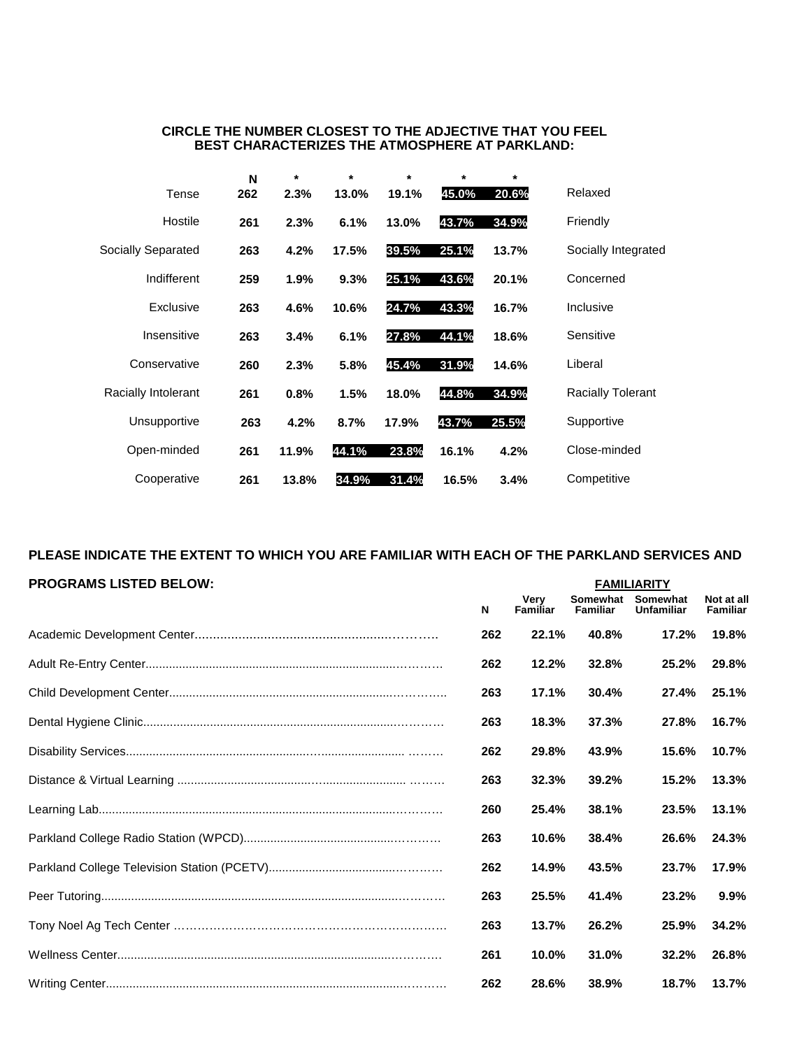| CIRCLE THE NUMBER CLOSEST TO THE ADJECTIVE THAT YOU FEEL |  |
|----------------------------------------------------------|--|
| <b>BEST CHARACTERIZES THE ATMOSPHERE AT PARKLAND:</b>    |  |

|                     | N   | *     | $\star$ | $\star$ | *     | *     |                          |
|---------------------|-----|-------|---------|---------|-------|-------|--------------------------|
| Tense               | 262 | 2.3%  | 13.0%   | 19.1%   | 45.0% | 20.6% | Relaxed                  |
| Hostile             | 261 | 2.3%  | 6.1%    | 13.0%   | 43.7% | 34.9% | Friendly                 |
| Socially Separated  | 263 | 4.2%  | 17.5%   | 39.5%   | 25.1% | 13.7% | Socially Integrated      |
| Indifferent         | 259 | 1.9%  | 9.3%    | 25.1%   | 43.6% | 20.1% | Concerned                |
| Exclusive           | 263 | 4.6%  | 10.6%   | 24.7%   | 43.3% | 16.7% | Inclusive                |
| Insensitive         | 263 | 3.4%  | 6.1%    | 27.8%   | 44.1% | 18.6% | Sensitive                |
| Conservative        | 260 | 2.3%  | 5.8%    | 45.4%   | 31.9% | 14.6% | Liberal                  |
| Racially Intolerant | 261 | 0.8%  | 1.5%    | 18.0%   | 44.8% | 34.9% | <b>Racially Tolerant</b> |
| Unsupportive        | 263 | 4.2%  | 8.7%    | 17.9%   | 43.7% | 25.5% | Supportive               |
| Open-minded         | 261 | 11.9% | 44.1%   | 23.8%   | 16.1% | 4.2%  | Close-minded             |
| Cooperative         | 261 | 13.8% | 34.9%   | 31.4%   | 16.5% | 3.4%  | Competitive              |

# **PLEASE INDICATE THE EXTENT TO WHICH YOU ARE FAMILIAR WITH EACH OF THE PARKLAND SERVICES AND**

| <b>PROGRAMS LISTED BELOW:</b> |     |                  |                             | <b>FAMILIARITY</b>            |                               |
|-------------------------------|-----|------------------|-----------------------------|-------------------------------|-------------------------------|
|                               | N   | Verv<br>Familiar | Somewhat<br><b>Familiar</b> | Somewhat<br><b>Unfamiliar</b> | Not at all<br><b>Familiar</b> |
|                               | 262 | 22.1%            | 40.8%                       | 17.2%                         | 19.8%                         |
|                               | 262 | 12.2%            | 32.8%                       | 25.2%                         | 29.8%                         |
|                               | 263 | 17.1%            | 30.4%                       | 27.4%                         | 25.1%                         |
|                               | 263 | 18.3%            | 37.3%                       | 27.8%                         | 16.7%                         |
|                               | 262 | 29.8%            | 43.9%                       | 15.6%                         | 10.7%                         |
|                               | 263 | 32.3%            | 39.2%                       | 15.2%                         | 13.3%                         |
|                               | 260 | 25.4%            | 38.1%                       | 23.5%                         | 13.1%                         |
|                               | 263 | 10.6%            | 38.4%                       | 26.6%                         | 24.3%                         |
|                               | 262 | 14.9%            | 43.5%                       | 23.7%                         | 17.9%                         |
|                               | 263 | 25.5%            | 41.4%                       | 23.2%                         | 9.9%                          |
|                               | 263 | 13.7%            | 26.2%                       | 25.9%                         | 34.2%                         |
|                               | 261 | 10.0%            | 31.0%                       | 32.2%                         | 26.8%                         |
|                               | 262 | 28.6%            | 38.9%                       | 18.7%                         | 13.7%                         |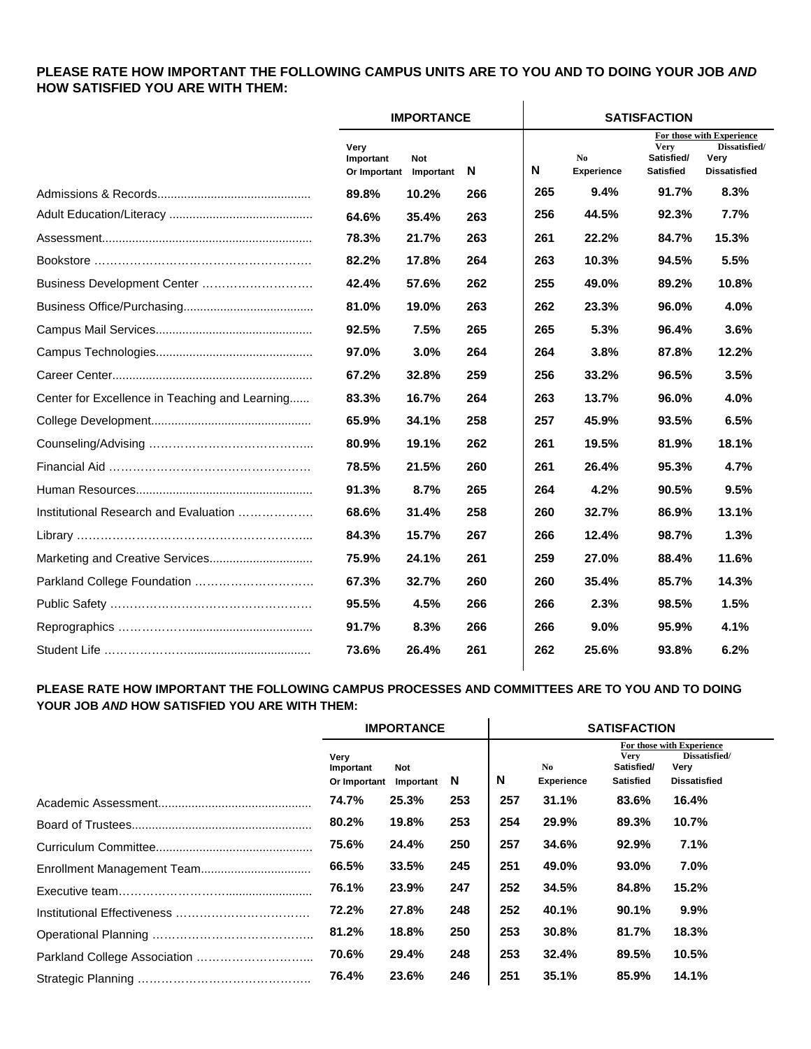# **PLEASE RATE HOW IMPORTANT THE FOLLOWING CAMPUS UNITS ARE TO YOU AND TO DOING YOUR JOB** *AND* **HOW SATISFIED YOU ARE WITH THEM:**

|                                                |                                             | <b>IMPORTANCE</b> |     |     |                         | <b>SATISFACTION</b>                           |                                                                           |
|------------------------------------------------|---------------------------------------------|-------------------|-----|-----|-------------------------|-----------------------------------------------|---------------------------------------------------------------------------|
|                                                | Very<br>Important<br>Or Important Important | <b>Not</b>        | N   | N   | No<br><b>Experience</b> | <b>Very</b><br>Satisfied/<br><b>Satisfied</b> | For those with Experience<br>Dissatisfied/<br>Very<br><b>Dissatisfied</b> |
|                                                | 89.8%                                       | 10.2%             | 266 | 265 | 9.4%                    | 91.7%                                         | 8.3%                                                                      |
|                                                | 64.6%                                       | 35.4%             | 263 | 256 | 44.5%                   | 92.3%                                         | 7.7%                                                                      |
|                                                | 78.3%                                       | 21.7%             | 263 | 261 | 22.2%                   | 84.7%                                         | 15.3%                                                                     |
|                                                | 82.2%                                       | 17.8%             | 264 | 263 | 10.3%                   | 94.5%                                         | 5.5%                                                                      |
| Business Development Center                    | 42.4%                                       | 57.6%             | 262 | 255 | 49.0%                   | 89.2%                                         | 10.8%                                                                     |
|                                                | 81.0%                                       | 19.0%             | 263 | 262 | 23.3%                   | 96.0%                                         | 4.0%                                                                      |
|                                                | 92.5%                                       | 7.5%              | 265 | 265 | 5.3%                    | 96.4%                                         | 3.6%                                                                      |
|                                                | 97.0%                                       | 3.0%              | 264 | 264 | 3.8%                    | 87.8%                                         | 12.2%                                                                     |
|                                                | 67.2%                                       | 32.8%             | 259 | 256 | 33.2%                   | 96.5%                                         | 3.5%                                                                      |
| Center for Excellence in Teaching and Learning | 83.3%                                       | 16.7%             | 264 | 263 | 13.7%                   | 96.0%                                         | 4.0%                                                                      |
|                                                | 65.9%                                       | 34.1%             | 258 | 257 | 45.9%                   | 93.5%                                         | 6.5%                                                                      |
|                                                | 80.9%                                       | 19.1%             | 262 | 261 | 19.5%                   | 81.9%                                         | 18.1%                                                                     |
|                                                | 78.5%                                       | 21.5%             | 260 | 261 | 26.4%                   | 95.3%                                         | 4.7%                                                                      |
|                                                | 91.3%                                       | 8.7%              | 265 | 264 | 4.2%                    | 90.5%                                         | 9.5%                                                                      |
| Institutional Research and Evaluation          | 68.6%                                       | 31.4%             | 258 | 260 | 32.7%                   | 86.9%                                         | 13.1%                                                                     |
|                                                | 84.3%                                       | 15.7%             | 267 | 266 | 12.4%                   | 98.7%                                         | 1.3%                                                                      |
|                                                | 75.9%                                       | 24.1%             | 261 | 259 | 27.0%                   | 88.4%                                         | 11.6%                                                                     |
|                                                | 67.3%                                       | 32.7%             | 260 | 260 | 35.4%                   | 85.7%                                         | 14.3%                                                                     |
|                                                | 95.5%                                       | 4.5%              | 266 | 266 | 2.3%                    | 98.5%                                         | 1.5%                                                                      |
|                                                | 91.7%                                       | 8.3%              | 266 | 266 | 9.0%                    | 95.9%                                         | 4.1%                                                                      |
|                                                | 73.6%                                       | 26.4%             | 261 | 262 | 25.6%                   | 93.8%                                         | 6.2%                                                                      |

#### **PLEASE RATE HOW IMPORTANT THE FOLLOWING CAMPUS PROCESSES AND COMMITTEES ARE TO YOU AND TO DOING YOUR JOB** *AND* **HOW SATISFIED YOU ARE WITH THEM:**  $\mathbf{r}$

|                                   | <b>IMPORTANCE</b> |     | <b>SATISFACTION</b> |                                     |                                        |                                                                           |  |  |
|-----------------------------------|-------------------|-----|---------------------|-------------------------------------|----------------------------------------|---------------------------------------------------------------------------|--|--|
| Very<br>Important<br>Or Important | Not<br>Important  | -N  | N                   | N <sub>0</sub><br><b>Experience</b> | Very<br>Satisfied/<br><b>Satisfied</b> | For those with Experience<br>Dissatisfied/<br>Very<br><b>Dissatisfied</b> |  |  |
| 74.7%                             | 25.3%             | 253 | 257                 | 31.1%                               | 83.6%                                  | 16.4%                                                                     |  |  |
| 80.2%                             | 19.8%             | 253 | 254                 | 29.9%                               | 89.3%                                  | 10.7%                                                                     |  |  |
| 75.6%                             | 24.4%             | 250 | 257                 | 34.6%                               | 92.9%                                  | 7.1%                                                                      |  |  |
| 66.5%                             | 33.5%             | 245 | 251                 | 49.0%                               | 93.0%                                  | $7.0\%$                                                                   |  |  |
| 76.1%                             | 23.9%             | 247 | 252                 | 34.5%                               | 84.8%                                  | 15.2%                                                                     |  |  |
| 72.2%                             | 27.8%             | 248 | 252                 | 40.1%                               | 90.1%                                  | $9.9\%$                                                                   |  |  |
| 81.2%                             | 18.8%             | 250 | 253                 | 30.8%                               | 81.7%                                  | 18.3%                                                                     |  |  |
| 70.6%                             | 29.4%             | 248 | 253                 | 32.4%                               | 89.5%                                  | 10.5%                                                                     |  |  |
| 76.4%                             | 23.6%             | 246 | 251                 | 35.1%                               | 85.9%                                  | 14.1%                                                                     |  |  |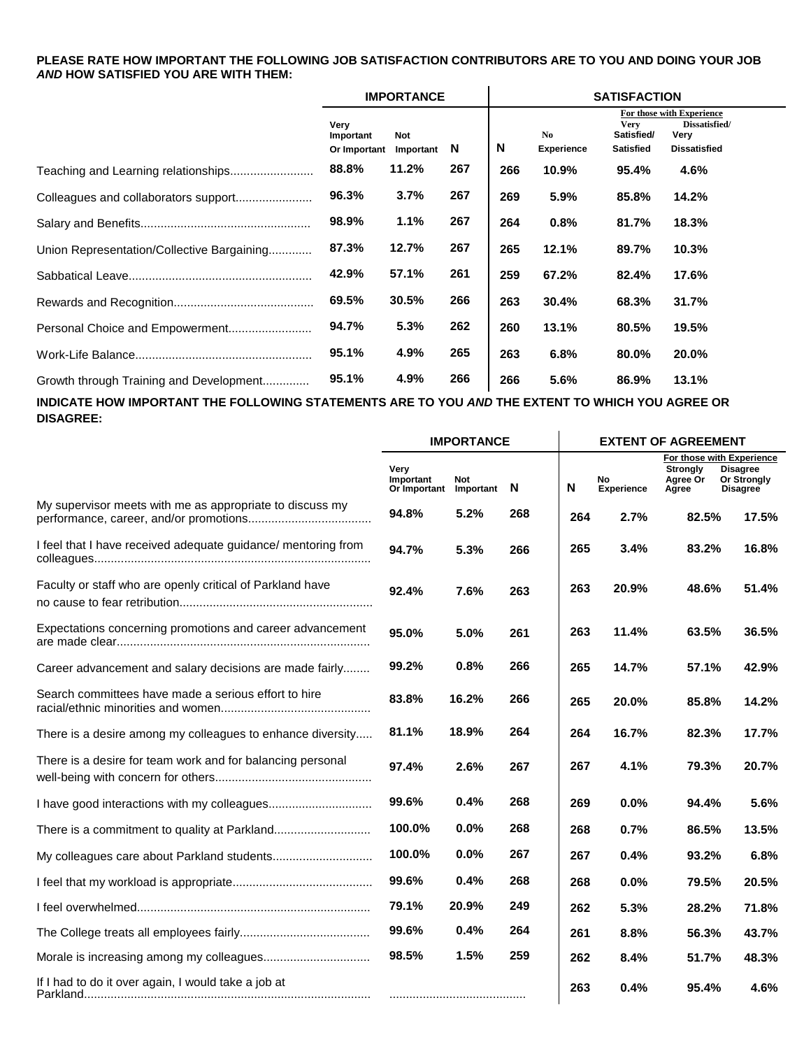#### **PLEASE RATE HOW IMPORTANT THE FOLLOWING JOB SATISFACTION CONTRIBUTORS ARE TO YOU AND DOING YOUR JOB** *AND* **HOW SATISFIED YOU ARE WITH THEM:**  $\mathbf{I}$

|                                            |                                   | <b>IMPORTANCE</b>       |     |     | <b>SATISFACTION</b><br>For those with Experience<br><b>Very</b><br>Dissatisfied/<br>No<br>Very<br>Satisfied/<br>Experience<br><b>Satisfied</b><br><b>Dissatisfied</b><br>10.9%<br>95.4%<br>4.6%<br>5.9%<br>85.8%<br>14.2%<br>0.8%<br>81.7%<br>18.3%<br>12.1%<br>10.3%<br>89.7%<br>67.2%<br>17.6%<br>82.4%<br>30.4%<br>31.7%<br>68.3%<br>13.1%<br>19.5%<br>80.5%<br>6.8%<br>20.0%<br>80.0%<br>5.6%<br>86.9%<br>13.1% |  |  |  |
|--------------------------------------------|-----------------------------------|-------------------------|-----|-----|---------------------------------------------------------------------------------------------------------------------------------------------------------------------------------------------------------------------------------------------------------------------------------------------------------------------------------------------------------------------------------------------------------------------|--|--|--|
|                                            | Very<br>Important<br>Or Important | <b>Not</b><br>Important | -N  | N   |                                                                                                                                                                                                                                                                                                                                                                                                                     |  |  |  |
|                                            | 88.8%                             | 11.2%                   | 267 | 266 |                                                                                                                                                                                                                                                                                                                                                                                                                     |  |  |  |
|                                            | 96.3%                             | 3.7%                    | 267 | 269 |                                                                                                                                                                                                                                                                                                                                                                                                                     |  |  |  |
|                                            | 98.9%                             | 1.1%                    | 267 | 264 |                                                                                                                                                                                                                                                                                                                                                                                                                     |  |  |  |
| Union Representation/Collective Bargaining | 87.3%                             | 12.7%                   | 267 | 265 |                                                                                                                                                                                                                                                                                                                                                                                                                     |  |  |  |
|                                            | 42.9%                             | 57.1%                   | 261 | 259 |                                                                                                                                                                                                                                                                                                                                                                                                                     |  |  |  |
|                                            | 69.5%                             | 30.5%                   | 266 | 263 |                                                                                                                                                                                                                                                                                                                                                                                                                     |  |  |  |
|                                            | 94.7%                             | 5.3%                    | 262 | 260 |                                                                                                                                                                                                                                                                                                                                                                                                                     |  |  |  |
|                                            | 95.1%                             | 4.9%                    | 265 | 263 |                                                                                                                                                                                                                                                                                                                                                                                                                     |  |  |  |
| Growth through Training and Development    | 95.1%                             | 4.9%                    | 266 | 266 |                                                                                                                                                                                                                                                                                                                                                                                                                     |  |  |  |

**INDICATE HOW IMPORTANT THE FOLLOWING STATEMENTS ARE TO YOU** *AND* **THE EXTENT TO WHICH YOU AGREE OR DISAGREE:**  $\mathbf{I}$ 

|                                                               | <b>IMPORTANCE</b>                 |                  |     |     |                   | <b>EXTENT OF AGREEMENT</b>           |                                                                                       |
|---------------------------------------------------------------|-----------------------------------|------------------|-----|-----|-------------------|--------------------------------------|---------------------------------------------------------------------------------------|
|                                                               | Very<br>Important<br>Or Important | Not<br>Important | N   | N   | No.<br>Experience | <b>Strongly</b><br>Agree Or<br>Agree | For those with Experience<br><b>Disagree</b><br><b>Or Strongly</b><br><b>Disagree</b> |
| My supervisor meets with me as appropriate to discuss my      | 94.8%                             | 5.2%             | 268 | 264 | 2.7%              | 82.5%                                | 17.5%                                                                                 |
| I feel that I have received adequate guidance/ mentoring from | 94.7%                             | 5.3%             | 266 | 265 | 3.4%              | 83.2%                                | 16.8%                                                                                 |
| Faculty or staff who are openly critical of Parkland have     | 92.4%                             | 7.6%             | 263 | 263 | 20.9%             | 48.6%                                | 51.4%                                                                                 |
| Expectations concerning promotions and career advancement     | 95.0%                             | 5.0%             | 261 | 263 | 11.4%             | 63.5%                                | 36.5%                                                                                 |
| Career advancement and salary decisions are made fairly       | 99.2%                             | 0.8%             | 266 | 265 | 14.7%             | 57.1%                                | 42.9%                                                                                 |
| Search committees have made a serious effort to hire          | 83.8%                             | 16.2%            | 266 | 265 | 20.0%             | 85.8%                                | 14.2%                                                                                 |
| There is a desire among my colleagues to enhance diversity    | 81.1%                             | 18.9%            | 264 | 264 | 16.7%             | 82.3%                                | 17.7%                                                                                 |
| There is a desire for team work and for balancing personal    | 97.4%                             | 2.6%             | 267 | 267 | 4.1%              | 79.3%                                | 20.7%                                                                                 |
|                                                               | 99.6%                             | 0.4%             | 268 | 269 | 0.0%              | 94.4%                                | 5.6%                                                                                  |
|                                                               | 100.0%                            | $0.0\%$          | 268 | 268 | 0.7%              | 86.5%                                | 13.5%                                                                                 |
|                                                               | 100.0%                            | 0.0%             | 267 | 267 | 0.4%              | 93.2%                                | 6.8%                                                                                  |
|                                                               | 99.6%                             | 0.4%             | 268 | 268 | 0.0%              | 79.5%                                | 20.5%                                                                                 |
|                                                               | 79.1%                             | 20.9%            | 249 | 262 | 5.3%              | 28.2%                                | 71.8%                                                                                 |
|                                                               | 99.6%                             | 0.4%             | 264 | 261 | 8.8%              | 56.3%                                | 43.7%                                                                                 |
|                                                               | 98.5%                             | 1.5%             | 259 | 262 | 8.4%              | 51.7%                                | 48.3%                                                                                 |
| If I had to do it over again, I would take a job at           |                                   |                  |     | 263 | 0.4%              | 95.4%                                | 4.6%                                                                                  |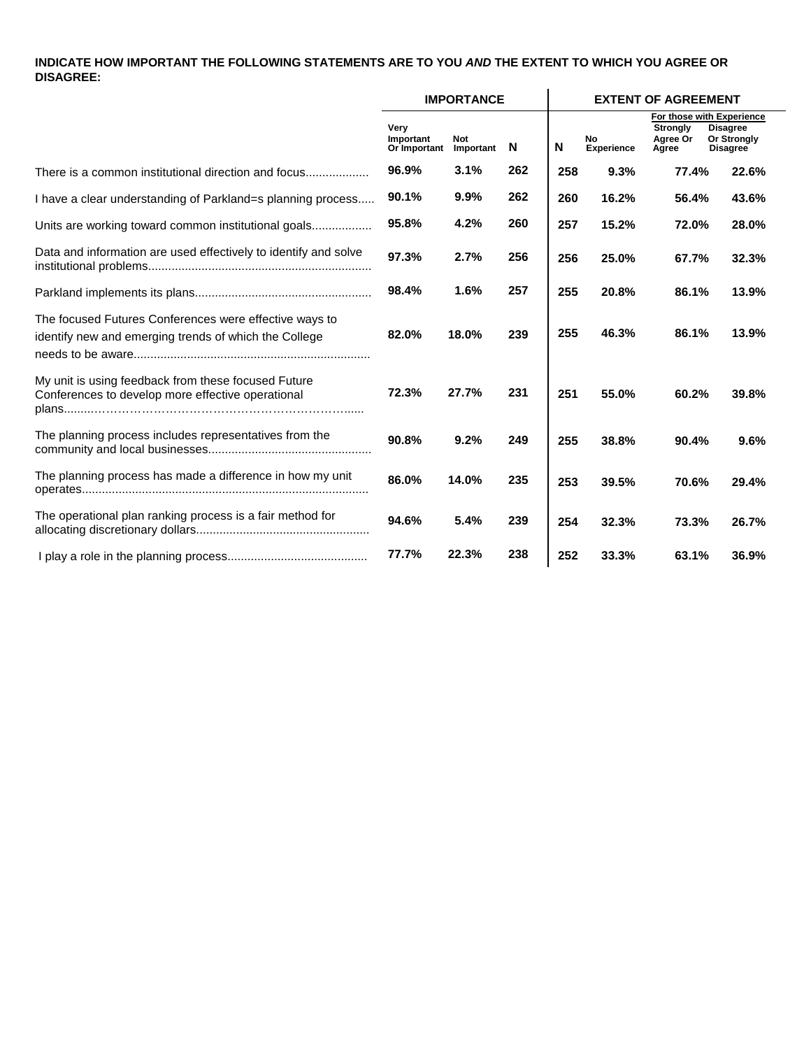## **INDICATE HOW IMPORTANT THE FOLLOWING STATEMENTS ARE TO YOU** *AND* **THE EXTENT TO WHICH YOU AGREE OR DISAGREE:**

|                                                                                                                 |                                   | <b>IMPORTANCE</b> |     |     |                         | <b>EXTENT OF AGREEMENT</b>           |                                                                                       |
|-----------------------------------------------------------------------------------------------------------------|-----------------------------------|-------------------|-----|-----|-------------------------|--------------------------------------|---------------------------------------------------------------------------------------|
|                                                                                                                 | Very<br>Important<br>Or Important | Not<br>Important  | N   | N   | No<br><b>Experience</b> | <b>Strongly</b><br>Agree Or<br>Agree | For those with Experience<br><b>Disagree</b><br><b>Or Strongly</b><br><b>Disagree</b> |
| There is a common institutional direction and focus                                                             | 96.9%                             | 3.1%              | 262 | 258 | 9.3%                    | 77.4%                                | 22.6%                                                                                 |
| I have a clear understanding of Parkland=s planning process                                                     | 90.1%                             | 9.9%              | 262 | 260 | 16.2%                   | 56.4%                                | 43.6%                                                                                 |
| Units are working toward common institutional goals                                                             | 95.8%                             | 4.2%              | 260 | 257 | 15.2%                   | 72.0%                                | 28.0%                                                                                 |
| Data and information are used effectively to identify and solve                                                 | 97.3%                             | 2.7%              | 256 | 256 | 25.0%                   | 67.7%                                | 32.3%                                                                                 |
|                                                                                                                 | 98.4%                             | 1.6%              | 257 | 255 | 20.8%                   | 86.1%                                | 13.9%                                                                                 |
| The focused Futures Conferences were effective ways to<br>identify new and emerging trends of which the College | 82.0%                             | 18.0%             | 239 | 255 | 46.3%                   | 86.1%                                | 13.9%                                                                                 |
| My unit is using feedback from these focused Future<br>Conferences to develop more effective operational        | 72.3%                             | 27.7%             | 231 | 251 | 55.0%                   | 60.2%                                | 39.8%                                                                                 |
| The planning process includes representatives from the                                                          | 90.8%                             | 9.2%              | 249 | 255 | 38.8%                   | 90.4%                                | 9.6%                                                                                  |
| The planning process has made a difference in how my unit                                                       | 86.0%                             | 14.0%             | 235 | 253 | 39.5%                   | 70.6%                                | 29.4%                                                                                 |
| The operational plan ranking process is a fair method for                                                       | 94.6%                             | 5.4%              | 239 | 254 | 32.3%                   | 73.3%                                | 26.7%                                                                                 |
|                                                                                                                 | 77.7%                             | 22.3%             | 238 | 252 | 33.3%                   | 63.1%                                | 36.9%                                                                                 |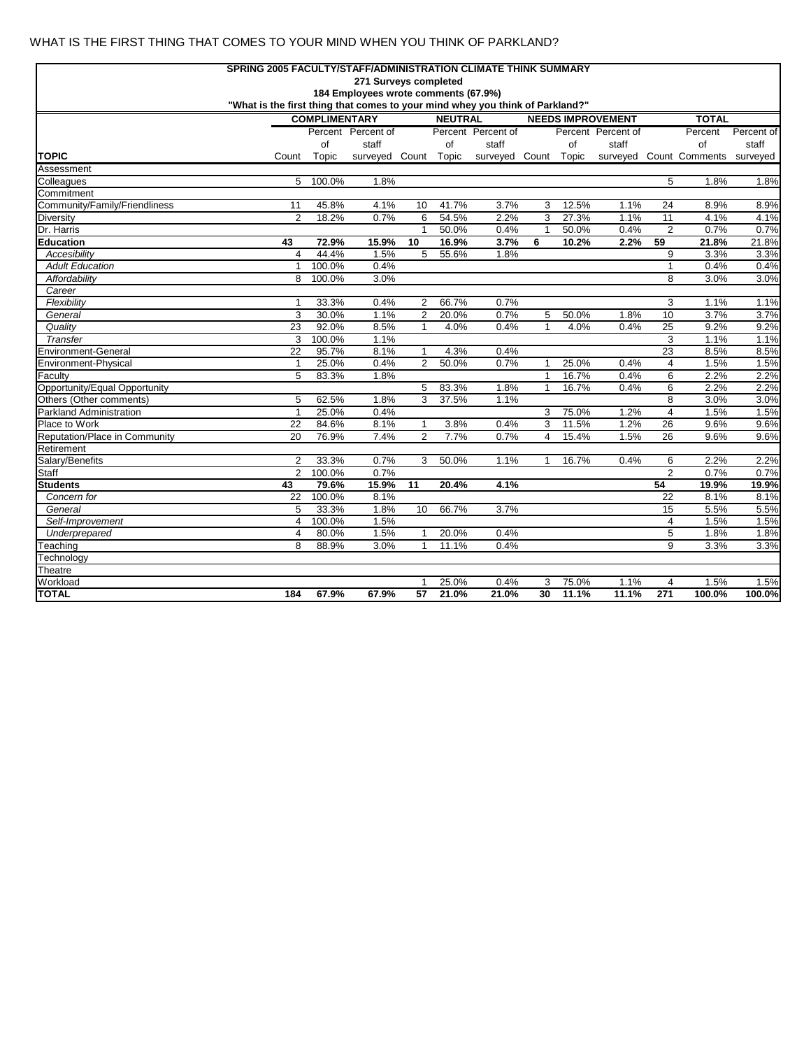### WHAT IS THE FIRST THING THAT COMES TO YOUR MIND WHEN YOU THINK OF PARKLAND?

|                                             | SPRING 2005 FACULTY/STAFF/ADMINISTRATION CLIMATE THINK SUMMARY                |                      |                                      |                 |                |                      |              |       |                          |                         |                                  |              |
|---------------------------------------------|-------------------------------------------------------------------------------|----------------------|--------------------------------------|-----------------|----------------|----------------------|--------------|-------|--------------------------|-------------------------|----------------------------------|--------------|
|                                             |                                                                               |                      | 271 Surveys completed                |                 |                |                      |              |       |                          |                         |                                  |              |
|                                             |                                                                               |                      | 184 Employees wrote comments (67.9%) |                 |                |                      |              |       |                          |                         |                                  |              |
|                                             | "What is the first thing that comes to your mind whey you think of Parkland?" |                      |                                      |                 |                |                      |              |       |                          |                         |                                  |              |
|                                             |                                                                               | <b>COMPLIMENTARY</b> |                                      |                 | <b>NEUTRAL</b> |                      |              |       | <b>NEEDS IMPROVEMENT</b> |                         | <b>TOTAL</b>                     |              |
|                                             |                                                                               |                      | Percent Percent of                   |                 |                | Percent Percent of   |              |       | Percent Percent of       |                         | Percent                          | Percent of   |
|                                             |                                                                               | of                   | staff                                |                 | of             | staff                |              | of    | staff                    |                         | of                               | staff        |
| <b>TOPIC</b>                                | Count                                                                         | Topic                | surveyed Count Topic                 |                 |                | surveyed Count Topic |              |       |                          |                         | surveyed Count Comments surveyed |              |
| Assessment                                  |                                                                               |                      |                                      |                 |                |                      |              |       |                          |                         |                                  |              |
| Colleagues                                  | 5                                                                             | 100.0%               | 1.8%                                 |                 |                |                      |              |       |                          | 5                       | 1.8%                             | 1.8%         |
| Commitment                                  |                                                                               |                      |                                      |                 |                |                      |              |       |                          |                         |                                  |              |
| Community/Family/Friendliness               | 11                                                                            | 45.8%                | 4.1%                                 | 10              | 41.7%          | 3.7%                 | 3            | 12.5% | 1.1%                     | 24                      | 8.9%                             | 8.9%         |
| <b>Diversity</b>                            | $\overline{2}$                                                                | 18.2%                | 0.7%                                 | $6\overline{6}$ | 54.5%          | 2.2%                 | 3            | 27.3% | 1.1%                     | 11                      | 4.1%                             | 4.1%         |
| Dr. Harris                                  |                                                                               |                      |                                      | $\mathbf{1}$    | 50.0%          | 0.4%                 | $\mathbf{1}$ | 50.0% | 0.4%                     | $\overline{2}$          | 0.7%                             | 0.7%         |
| Education                                   | 43                                                                            | 72.9%                | 15.9%                                | 10              | 16.9%          | 3.7%                 | 6            | 10.2% | 2.2%                     | 59                      | 21.8%                            | 21.8%        |
| Accesibility                                | $\overline{4}$                                                                | 44.4%                | 1.5%                                 | 5               | 55.6%          | 1.8%                 |              |       |                          | 9                       | 3.3%                             | 3.3%         |
| <b>Adult Education</b>                      | $\mathbf{1}$                                                                  | 100.0%               | 0.4%                                 |                 |                |                      |              |       |                          | 1                       | 0.4%                             | 0.4%         |
| Affordability                               | 8                                                                             | 100.0%               | 3.0%                                 |                 |                |                      |              |       |                          | 8                       | 3.0%                             | 3.0%         |
| Career                                      |                                                                               |                      |                                      |                 |                |                      |              |       |                          |                         |                                  |              |
| Flexibility                                 | $\mathbf{1}$                                                                  | 33.3%                | 0.4%                                 | $\overline{2}$  | 66.7%          | 0.7%                 |              |       |                          | 3                       | 1.1%                             | 1.1%         |
| General                                     | 3                                                                             | 30.0%                | 1.1%                                 | $\overline{2}$  | 20.0%          | 0.7%                 | 5            | 50.0% | 1.8%                     | 10                      | 3.7%                             | 3.7%         |
| Quality                                     | 23                                                                            | 92.0%                | 8.5%                                 | $\mathbf{1}$    | 4.0%           | 0.4%                 | $\mathbf{1}$ | 4.0%  | 0.4%                     | 25                      | 9.2%                             | 9.2%         |
| Transfer                                    | 3                                                                             | 100.0%               | 1.1%                                 |                 |                |                      |              |       |                          | 3                       | 1.1%                             | 1.1%         |
| Environment-General                         | 22                                                                            | 95.7%                | 8.1%                                 | $\mathbf{1}$    | 4.3%           | 0.4%                 |              |       |                          | 23                      | 8.5%                             | 8.5%         |
| Environment-Physical                        | $\mathbf{1}$                                                                  | 25.0%                | 0.4%                                 | 2               | 50.0%          | 0.7%                 | $\mathbf{1}$ | 25.0% | 0.4%                     | $\overline{4}$          | 1.5%                             | 1.5%         |
| Faculty                                     | $\overline{5}$                                                                | 83.3%                | 1.8%                                 |                 |                |                      | $\mathbf{1}$ | 16.7% | 0.4%                     | $6\overline{6}$         | 2.2%                             | 2.2%         |
| Opportunity/Equal Opportunity               |                                                                               |                      |                                      | 5               | 83.3%          | 1.8%                 | $\mathbf{1}$ | 16.7% | 0.4%                     | 6                       | 2.2%                             | 2.2%         |
| Others (Other comments)                     | 5                                                                             | 62.5%                | 1.8%                                 | $\overline{3}$  | 37.5%          | 1.1%                 |              |       |                          | 8                       | 3.0%                             | 3.0%         |
| Parkland Administration                     | $\mathbf{1}$                                                                  | 25.0%                | 0.4%                                 |                 |                |                      | 3            | 75.0% | 1.2%                     | $\overline{\mathbf{4}}$ | 1.5%                             | 1.5%         |
| Place to Work                               | 22                                                                            | 84.6%                | 8.1%                                 | $\mathbf{1}$    | 3.8%           | 0.4%                 | 3            | 11.5% | 1.2%                     | 26                      | 9.6%                             | 9.6%         |
| Reputation/Place in Community<br>Retirement | 20                                                                            | 76.9%                | 7.4%                                 | $\overline{2}$  | 7.7%           | 0.7%                 | 4            | 15.4% | 1.5%                     | 26                      | 9.6%                             | 9.6%         |
|                                             |                                                                               |                      |                                      |                 |                |                      |              |       |                          |                         |                                  |              |
| Salary/Benefits<br><b>Staff</b>             | $\overline{2}$<br>$\overline{2}$                                              | 33.3%<br>100.0%      | 0.7%<br>0.7%                         | 3               | 50.0%          | 1.1%                 | $\mathbf{1}$ | 16.7% | 0.4%                     | 6<br>$\overline{2}$     | 2.2%<br>0.7%                     | 2.2%<br>0.7% |
| <b>Students</b>                             |                                                                               | 79.6%                | 15.9%                                | $\overline{11}$ | 20.4%          | 4.1%                 |              |       |                          | 54                      | 19.9%                            | 19.9%        |
| Concern for                                 | 43<br>22                                                                      | 100.0%               | 8.1%                                 |                 |                |                      |              |       |                          | 22                      | 8.1%                             | 8.1%         |
| General                                     | 5                                                                             | 33.3%                | 1.8%                                 | 10              | 66.7%          | 3.7%                 |              |       |                          | 15                      | 5.5%                             | 5.5%         |
| Self-Improvement                            | $\overline{4}$                                                                | 100.0%               | 1.5%                                 |                 |                |                      |              |       |                          | 4                       | 1.5%                             | 1.5%         |
| Underprepared                               | $\overline{4}$                                                                | 80.0%                | 1.5%                                 | $\mathbf{1}$    | 20.0%          | 0.4%                 |              |       |                          | 5                       | 1.8%                             | 1.8%         |
| Teaching                                    | 8                                                                             | 88.9%                | 3.0%                                 | $\mathbf{1}$    | 11.1%          | 0.4%                 |              |       |                          | 9                       | 3.3%                             | 3.3%         |
| Technology                                  |                                                                               |                      |                                      |                 |                |                      |              |       |                          |                         |                                  |              |
| Theatre                                     |                                                                               |                      |                                      |                 |                |                      |              |       |                          |                         |                                  |              |
| Workload                                    |                                                                               |                      |                                      | $\mathbf{1}$    | 25.0%          | 0.4%                 | 3            | 75.0% | 1.1%                     | 4                       | 1.5%                             | 1.5%         |
| <b>TOTAL</b>                                | 184                                                                           | 67.9%                | 67.9%                                | 57              | 21.0%          | 21.0%                | 30           | 11.1% | 11.1%                    | 271                     | 100.0%                           | 100.0%       |
|                                             |                                                                               |                      |                                      |                 |                |                      |              |       |                          |                         |                                  |              |